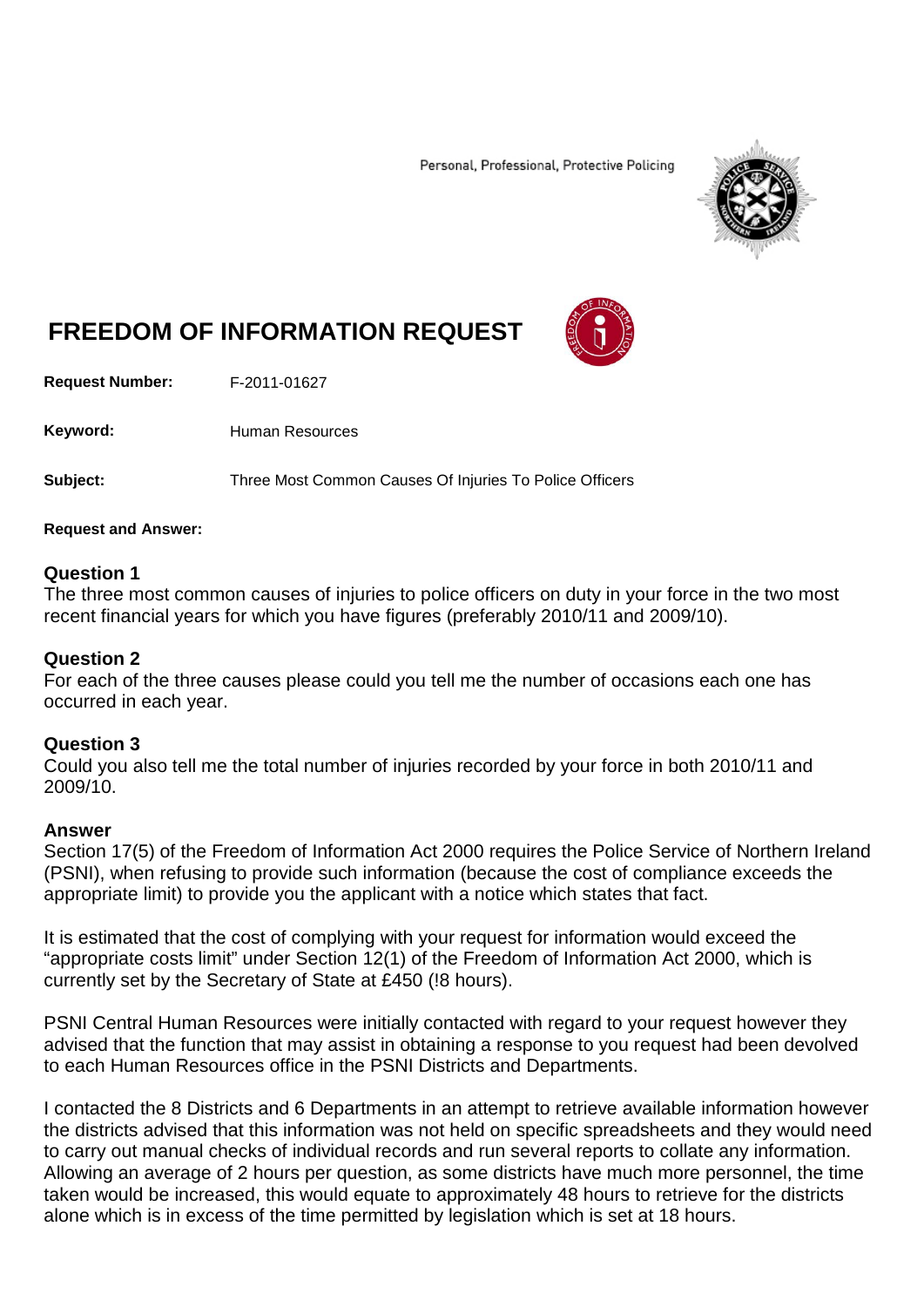Personal, Professional, Protective Policing



# **FREEDOM OF INFORMATION REQUEST**

**Request Number:** F-2011-01627

Keyword: Human Resources

**Subject:** Three Most Common Causes Of Injuries To Police Officers

#### **Request and Answer:**

## **Question 1**

The three most common causes of injuries to police officers on duty in your force in the two most recent financial years for which you have figures (preferably 2010/11 and 2009/10).

### **Question 2**

For each of the three causes please could you tell me the number of occasions each one has occurred in each year.

### **Question 3**

Could you also tell me the total number of injuries recorded by your force in both 2010/11 and 2009/10.

#### **Answer**

Section 17(5) of the Freedom of Information Act 2000 requires the Police Service of Northern Ireland (PSNI), when refusing to provide such information (because the cost of compliance exceeds the appropriate limit) to provide you the applicant with a notice which states that fact.

It is estimated that the cost of complying with your request for information would exceed the "appropriate costs limit" under Section 12(1) of the Freedom of Information Act 2000, which is currently set by the Secretary of State at £450 (!8 hours).

PSNI Central Human Resources were initially contacted with regard to your request however they advised that the function that may assist in obtaining a response to you request had been devolved to each Human Resources office in the PSNI Districts and Departments.

I contacted the 8 Districts and 6 Departments in an attempt to retrieve available information however the districts advised that this information was not held on specific spreadsheets and they would need to carry out manual checks of individual records and run several reports to collate any information. Allowing an average of 2 hours per question, as some districts have much more personnel, the time taken would be increased, this would equate to approximately 48 hours to retrieve for the districts alone which is in excess of the time permitted by legislation which is set at 18 hours.